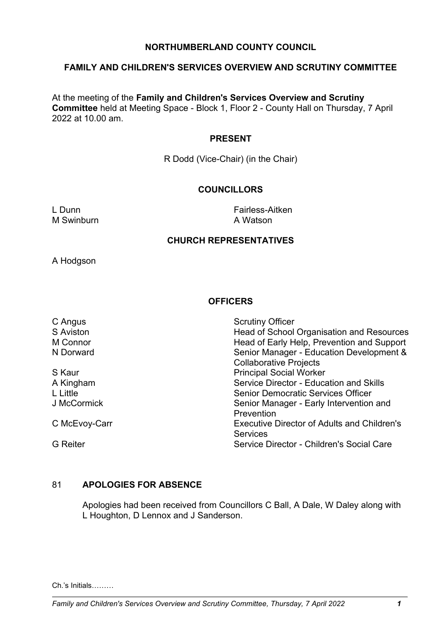## **NORTHUMBERLAND COUNTY COUNCIL**

#### **FAMILY AND CHILDREN'S SERVICES OVERVIEW AND SCRUTINY COMMITTEE**

At the meeting of the **Family and Children's Services Overview and Scrutiny Committee** held at Meeting Space - Block 1, Floor 2 - County Hall on Thursday, 7 April 2022 at 10.00 am.

#### **PRESENT**

R Dodd (Vice-Chair) (in the Chair)

## **COUNCILLORS**

M Swinburn **A Watson** 

L Dunn Fairless-Aitken

## **CHURCH REPRESENTATIVES**

A Hodgson

## **OFFICERS**

| C Angus          | <b>Scrutiny Officer</b>                            |
|------------------|----------------------------------------------------|
| <b>S</b> Aviston | Head of School Organisation and Resources          |
| M Connor         | Head of Early Help, Prevention and Support         |
| N Dorward        | Senior Manager - Education Development &           |
|                  | <b>Collaborative Projects</b>                      |
| S Kaur           | <b>Principal Social Worker</b>                     |
| A Kingham        | <b>Service Director - Education and Skills</b>     |
| L Little         | <b>Senior Democratic Services Officer</b>          |
| J McCormick      | Senior Manager - Early Intervention and            |
|                  | Prevention                                         |
| C McEvoy-Carr    | <b>Executive Director of Adults and Children's</b> |
|                  | <b>Services</b>                                    |
| <b>G</b> Reiter  | Service Director - Children's Social Care          |

#### 81 **APOLOGIES FOR ABSENCE**

Apologies had been received from Councillors C Ball, A Dale, W Daley along with L Houghton, D Lennox and J Sanderson.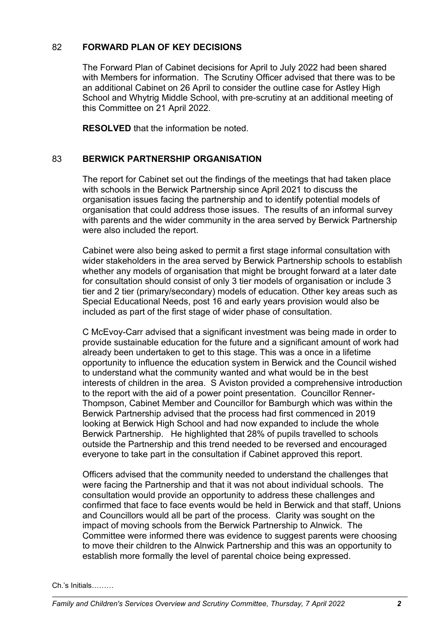# 82 **FORWARD PLAN OF KEY DECISIONS**

The Forward Plan of Cabinet decisions for April to July 2022 had been shared with Members for information. The Scrutiny Officer advised that there was to be an additional Cabinet on 26 April to consider the outline case for Astley High School and Whytrig Middle School, with pre-scrutiny at an additional meeting of this Committee on 21 April 2022.

**RESOLVED** that the information be noted.

## 83 **BERWICK PARTNERSHIP ORGANISATION**

The report for Cabinet set out the findings of the meetings that had taken place with schools in the Berwick Partnership since April 2021 to discuss the organisation issues facing the partnership and to identify potential models of organisation that could address those issues. The results of an informal survey with parents and the wider community in the area served by Berwick Partnership were also included the report.

Cabinet were also being asked to permit a first stage informal consultation with wider stakeholders in the area served by Berwick Partnership schools to establish whether any models of organisation that might be brought forward at a later date for consultation should consist of only 3 tier models of organisation or include 3 tier and 2 tier (primary/secondary) models of education. Other key areas such as Special Educational Needs, post 16 and early years provision would also be included as part of the first stage of wider phase of consultation.

C McEvoy-Carr advised that a significant investment was being made in order to provide sustainable education for the future and a significant amount of work had already been undertaken to get to this stage. This was a once in a lifetime opportunity to influence the education system in Berwick and the Council wished to understand what the community wanted and what would be in the best interests of children in the area. S Aviston provided a comprehensive introduction to the report with the aid of a power point presentation. Councillor Renner-Thompson, Cabinet Member and Councillor for Bamburgh which was within the Berwick Partnership advised that the process had first commenced in 2019 looking at Berwick High School and had now expanded to include the whole Berwick Partnership. He highlighted that 28% of pupils travelled to schools outside the Partnership and this trend needed to be reversed and encouraged everyone to take part in the consultation if Cabinet approved this report.

Officers advised that the community needed to understand the challenges that were facing the Partnership and that it was not about individual schools. The consultation would provide an opportunity to address these challenges and confirmed that face to face events would be held in Berwick and that staff, Unions and Councillors would all be part of the process. Clarity was sought on the impact of moving schools from the Berwick Partnership to Alnwick. The Committee were informed there was evidence to suggest parents were choosing to move their children to the Alnwick Partnership and this was an opportunity to establish more formally the level of parental choice being expressed.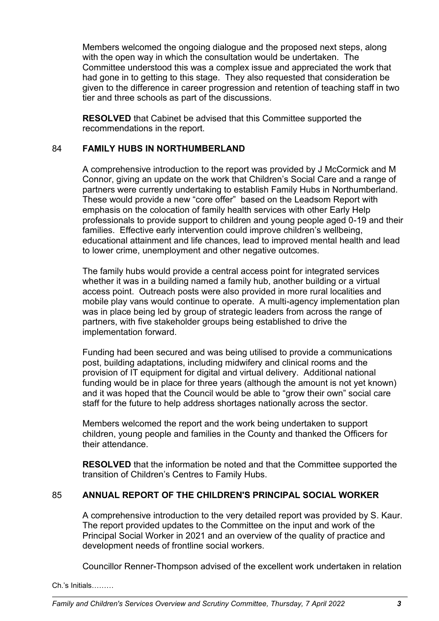Members welcomed the ongoing dialogue and the proposed next steps, along with the open way in which the consultation would be undertaken. The Committee understood this was a complex issue and appreciated the work that had gone in to getting to this stage. They also requested that consideration be given to the difference in career progression and retention of teaching staff in two tier and three schools as part of the discussions.

**RESOLVED** that Cabinet be advised that this Committee supported the recommendations in the report.

## 84 **FAMILY HUBS IN NORTHUMBERLAND**

A comprehensive introduction to the report was provided by J McCormick and M Connor, giving an update on the work that Children's Social Care and a range of partners were currently undertaking to establish Family Hubs in Northumberland. These would provide a new "core offer" based on the Leadsom Report with emphasis on the colocation of family health services with other Early Help professionals to provide support to children and young people aged 0-19 and their families. Effective early intervention could improve children's wellbeing, educational attainment and life chances, lead to improved mental health and lead to lower crime, unemployment and other negative outcomes.

The family hubs would provide a central access point for integrated services whether it was in a building named a family hub, another building or a virtual access point. Outreach posts were also provided in more rural localities and mobile play vans would continue to operate. A multi-agency implementation plan was in place being led by group of strategic leaders from across the range of partners, with five stakeholder groups being established to drive the implementation forward.

Funding had been secured and was being utilised to provide a communications post, building adaptations, including midwifery and clinical rooms and the provision of IT equipment for digital and virtual delivery. Additional national funding would be in place for three years (although the amount is not yet known) and it was hoped that the Council would be able to "grow their own" social care staff for the future to help address shortages nationally across the sector.

Members welcomed the report and the work being undertaken to support children, young people and families in the County and thanked the Officers for their attendance.

**RESOLVED** that the information be noted and that the Committee supported the transition of Children's Centres to Family Hubs.

## 85 **ANNUAL REPORT OF THE CHILDREN'S PRINCIPAL SOCIAL WORKER**

A comprehensive introduction to the very detailed report was provided by S. Kaur. The report provided updates to the Committee on the input and work of the Principal Social Worker in 2021 and an overview of the quality of practice and development needs of frontline social workers.

Councillor Renner-Thompson advised of the excellent work undertaken in relation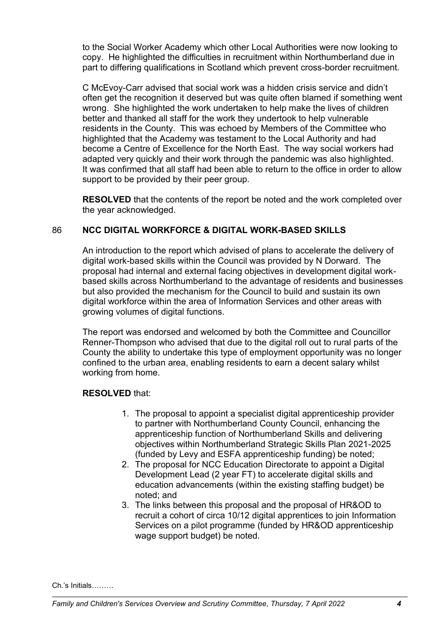to the Social Worker Academy which other Local Authorities were now looking to copy. He highlighted the difficulties in recruitment within Northumberland due in part to differing qualifications in Scotland which prevent cross-border recruitment.

C McEvoy-Carr advised that social work was a hidden crisis service and didn't often get the recognition it deserved but was quite often blamed if something went wrong. She highlighted the work undertaken to help make the lives of children better and thanked all staff for the work they undertook to help vulnerable residents in the County. This was echoed by Members of the Committee who highlighted that the Academy was testament to the Local Authority and had become a Centre of Excellence for the North East. The way social workers had adapted very quickly and their work through the pandemic was also highlighted. It was confirmed that all staff had been able to return to the office in order to allow support to be provided by their peer group.

**RESOLVED** that the contents of the report be noted and the work completed over the year acknowledged.

# 86 **NCC DIGITAL WORKFORCE & DIGITAL WORK-BASED SKILLS**

An introduction to the report which advised of plans to accelerate the delivery of digital work-based skills within the Council was provided by N Dorward. The proposal had internal and external facing objectives in development digital workbased skills across Northumberland to the advantage of residents and businesses but also provided the mechanism for the Council to build and sustain its own digital workforce within the area of Information Services and other areas with growing volumes of digital functions.

The report was endorsed and welcomed by both the Committee and Councillor Renner-Thompson who advised that due to the digital roll out to rural parts of the County the ability to undertake this type of employment opportunity was no longer confined to the urban area, enabling residents to earn a decent salary whilst working from home.

## **RESOLVED** that:

- 1. The proposal to appoint a specialist digital apprenticeship provider to partner with Northumberland County Council, enhancing the apprenticeship function of Northumberland Skills and delivering objectives within Northumberland Strategic Skills Plan 2021-2025 (funded by Levy and ESFA apprenticeship funding) be noted;
- 2. The proposal for NCC Education Directorate to appoint a Digital Development Lead (2 year FT) to accelerate digital skills and education advancements (within the existing staffing budget) be noted; and
- 3. The links between this proposal and the proposal of HR&OD to recruit a cohort of circa 10/12 digital apprentices to join Information Services on a pilot programme (funded by HR&OD apprenticeship wage support budget) be noted.